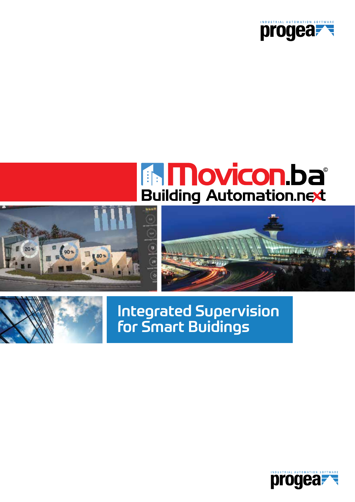

# **EN MOVICON. Da**







# Integrated Supervision for Smart Buidings

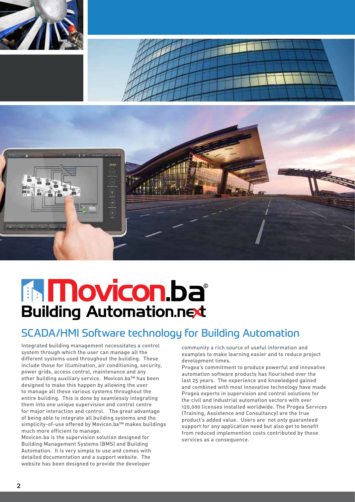



# **The Movicon.ba Building Automation.next**

### SCADA/HMI Software technology for Building Automation

Integrated building management necessitates a control system through which the user can manage all the different systems used throughout the building. These include those for illumination, air conditioning, security, power grids, access control, maintenance and any other building auxiliary service. Movicon.ba™ has been designed to make this happen by allowing the user to manage all these various systems throughout the entire building. This is done by seamlessly integrating them into one unique supervision and control centre for major interaction and control. The great advantage of being able to integrate all building systems and the simplicity-of-use offered by Movicon.ba™ makes buildings much more efficient to manage.

Movicon.ba is the supervision solution designed for Building Management Systems (BMS) and Building Automation. It is very simple to use and comes with detailed documentation and a support website. The website has been designed to provide the developer

community a rich source of useful information and examples to make learning easier and to reduce project development times.

Progea's commitment to produce powerful and innovative automation software products has flourished over the last 25 years. The experience and knowledged gained and combined with most innovative technology have made Progea experts in supervision and control solutions for the civil and industrial automation sectors with over 120,000 licenses installed worldwide. The Progea Services (Training, Assistence and Consultancy) are the true product's added value. Users are not only guaranteed support for any application need but also get to benefit from reduced implemention costs contributed by these services as a consequence.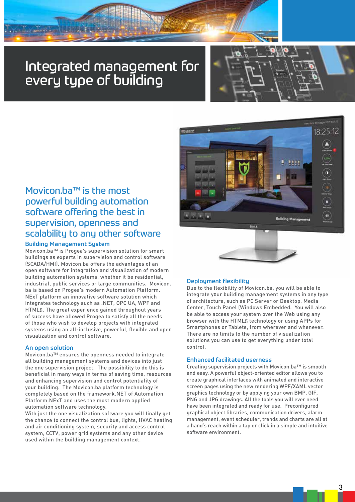# Integrated management for every type of building



### Movicon.ba™ is the most powerful building automation software offering the best in supervision, openness and scalability to any other software

### Building Management System

**ANTI ANTISE** 

Movicon.ba™ is Progea's supervision solution for smart buildings as experts in supervision and control software (SCADA/HMI). Movicon.ba offers the advantages of an open software for integration and visualization of modern building automation systems, whether it be residential, industrial, public services or large communities. Movicon. ba is based on Progea's modern Automation Platform. NExT platform an innovative software solution which integrates technology such as .NET, OPC UA, WPF and HTML5. The great experience gained throughout years of success have allowed Progea to satisfy all the needs of those who wish to develop projects with integrated systems using an all-inclusive, powerful, flexible and open visualization and control software.

### An open solution

Movicon.ba™ ensures the openness needed to integrate all building management systems and devices into just the one supervision project. The possibility to do this is beneficial in many ways in terms of saving time, resources and enhancing supervision and control potentiality of your building. The Movicon.ba platform technology is completely based on the framework.NET of Automation Platform.NExT and uses the most modern applied automation software technology.

With just the one visualization software you will finally get the chance to connect the control bus, lights, HVAC heating and air conditioning system, security and access control system, CCTV, power grid systems and any other device used within the building management context.



### Deployment flexibility

Due to the flexibility of Movicon.ba, you will be able to integrate y0ur building management systems in any type of architecture, such as PC Server or Desktop, Media Center, Touch Panel (Windows Embedded. You will also be able to access your system over the Web using any browser with the HTML5 technology or using APPs for Smartphones or Tablets, from wherever and whenever. There are no limits to the number of visualization solutions you can use to get everything under total control.

#### Enhanced facilitated userness

Creating supervision projects with Movicon.ba™ is smooth and easy. A powerful object-oriented editor allows you to create graphical interfaces with animated and interactive screen pages using the new rendering WPF/XAML vector graphics technology or by applying your own BMP, GIF, PNG and JPG drawings. All the tools you will ever need have been integrated and ready for use. Preconfigured graphical object libraries, communication drivers, alarm management, event scheduler, trends and charts are all at a hand's reach within a tap or click in a simple and intuitive software environment.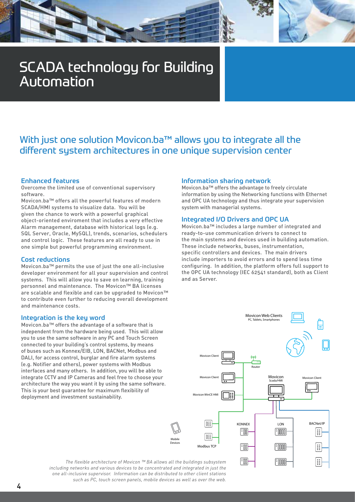# SCADA technology for Building Automation

### With just one solution Movicon.ba™ allows you to integrate all the different system architectures in one unique supervision center

#### Enhanced features

Overcome the limited use of conventional supervisory software.

Movicon.ba™ offers all the powerful features of modern SCADA/HMI systems to visualize data. You will be given the chance to work with a powerful graphical object-oriented enviroment that includes a very effective Alarm management, database with historical logs (e.g. SQL Server, Oracle, MySQL), trends, scenarios, schedulers and control logic. These features are all ready to use in one simple but powerful programming environment.

#### Cost reductions

Movicon.ba™ permits the use of just the one all-inclusive developer environment for all your supervision and control systems. This will allow you to save on learning, training personnel and maintenance. The Movicon™ BA licenses are scalable and flexible and can be upgraded to Movicon™ to contribute even further to reducing overall development and maintenance costs.

### Integration is the key word

Movicon.ba™ offers the advantage of a software that is independent from the hardware being used. This will allow you to use the same software in any PC and Touch Screen connected to your building's control systems, by means of buses such as Konnex/EIB, LON, BACNet, Modbus and DALI, for access control, burglar and fire alarm systems (e.g. Notifier and others), power systems with Modbus interfaces and many others. In addition, you will be able to integrate CCTV and IP Cameras and feel free to choose your architecture the way you want it by using the same software. This is your best guarantee for maximum flexibility of deployment and investment sustainability.

### Information sharing network

Movicon.ba™ offers the advantage to freely circulate information by using the Networking functions with Ethernet and OPC UA technology and thus integrate your supervision system with managerial systems.

### Integrated I/O Drivers and OPC UA

Movicon.ba™ includes a large number of integrated and ready-to-use communication drivers to connect to the main systems and devices used in building automation. These include networks, buses, instrumentation, specific controllers and devices. The main drivers include importers to avoid errors and to spend less time configuring. In addition, the platform offers full support to the OPC UA technology (IEC 62541 standard), both as Client and as Server.



*The flexible architecture of Movicon ™ BA allows all the buildings subsystem including networks and various devices to be concentrated and integrated in just the one all-inclusive supervisor. Information can be distributed to other client stations such as PC, touch screen panels, mobile devices as well as over the web.*

Mobile Devices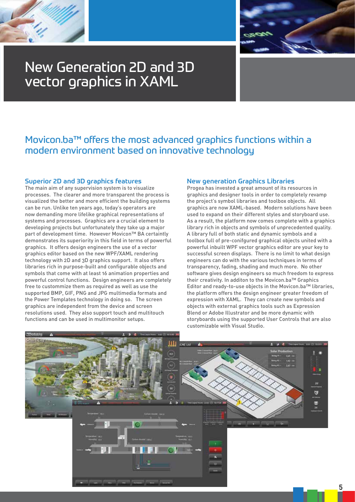



# New Generation 2D and 3D vector graphics in XAML

### Movicon.ba™ offers the most advanced graphics functions within a modern environment based on innovative technology

### Superior 2D and 3D graphics features

The main aim of any supervision system is to visualize processes. The clearer and more transparent the process is visualized the better and more efficient the building systems can be run. Unlike ten years ago, today's operators are now demanding more lifelike graphical representations of systems and processes. Graphics are a crucial element to developing projects but unfortunately they take up a major part of development time. However Movicon™ BA certaintly demonstrates its superiority in this field in terms of powerful graphics. It offers design engineers the use of a vector graphics editor based on the new WPF/XAML rendering technology with 2D and 3D graphics support. It also offers libraries rich in purpose-built and configurable objects and symbols that come with at least 16 animation properties and powerful control functions. Design engineers are completely free to custommize them as required as well as use the supported BMP, GIF, PNG and JPG multimedia formats and the Power Templates technology in doing so. The screen graphics are independent from the device and screen resolutions used. They also support touch and multitouch functions and can be used in multimonitor setups.

#### New generation Graphics Libraries

Progea has invested a great amount of its resources in graphics and designer tools in order to completely revamp the project's symbol libraries and toolbox objects. All graphics are now XAML-based. Modern solutions have been used to expand on their different styles and storyboard use. As a result, the platform now comes complete with a graphics library rich in objects and symbols of unprecedented quality. A library full of both static and dynamic symbols and a toolbox full of pre-conifgured graphical objects united with a powerful inbuilt WPF vector graphics editor are your key to successful screen displays. There is no limit to what design engineers can do with the various techniques in terms of transparency, fading, shading and much more. No other software gives design engineers so much freedom to express their creativity. In additon to the Movicon.ba™ Graphics Editor and ready-to-use objects in the Movicon.ba™ libraries, the platform offers the design engineer greater freedom of expression with XAML. They can create new symbols and objects with external graphics tools such as Expression Blend or Adobe Illustrator and be more dynamic with storyboards using the supported User Controls that are also customizable with Visual Studio.

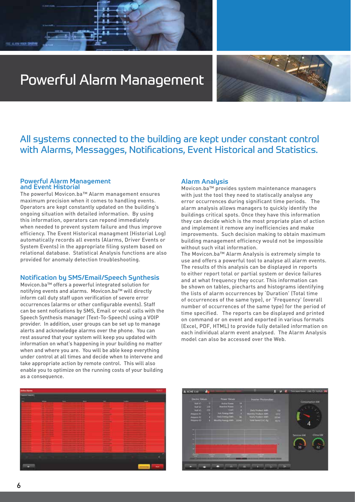# Powerful Alarm Management



### All systems connected to the building are kept under constant control with Alarms, Messagges, Notifications, Event Historical and Statistics.

#### Powerful Alarm Management and Event Historial

FEEL ALANM RESER COMPA

The powerful Movicon.ba™ Alarm management ensures maximum precision when it comes to handling events. Operators are kept constantly updated on the building's ongoing situation with detailed information. By using this information, operators can repond immediately when needed to prevent system failure and thus improve efficiency. The Event Historical managment (Historial Log) automatically records all events (Alarms, Driver Events or System Events) in the appropriate filing system based on relational database. Statistical Analysis functions are also provided for anomaly detection troubleshooting.

### Notification by SMS/Email/Speech Synthesis

Movicon.ba™ offers a powerful integrated solution for notifying events and alarms. Movicon.ba™ will directly inform call duty staff upon verification of severe error occurrences (alarms or other configurable events). Staff can be sent nofications by SMS, Email or vocal calls with the Speech Synthesis manager (Text-To-Speech) using a VOIP provider. In addition, user groups can be set up to manage alerts and acknowledge alarms over the phone. You can rest assured that your system will keep you updated with information on what's happening in your building no matter when and where you are. You will be able keep everything under control at all times and decide when to intervene and take appropriate action by remote control. This will also enable you to optimize on the running costs of your building as a consequence.

### Alarm Analysis

Movicon.ba™ provides system maintenance managers with just the tool they need to statiscally analyse any error occurrences during significant time periods. The alarm analysis allows managers to quickly identify the buildings critical spots. Once they have this information they can decide which is the most propriate plan of action and implement it remove any inefficiencies and make improvements. Such decision making to obtain maximum building management efficiency would not be impossible without such vital information.

The Movicon.ba™ Alarm AnaIysis is extremely simple to use and offers a powerful tool to analyse all alarm events. The results of this analysis can be displayed in reports to either report total or partial system or device failures and at what frequency they occur. This information can be shown on tables, piecharts and histograms identifying the lists of alarm occurrences by 'Duration' (Total time of occurrences of the same type), or 'Frequency' (overall number of occurrences of the same type) for the period of time specified. The reports can be displayed and printed on command or on event and exported in various formats (Excel, PDF, HTML) to provide fully detailed information on each individual alarm event analysed. The Alarm Analysis model can also be accessed over the Web.



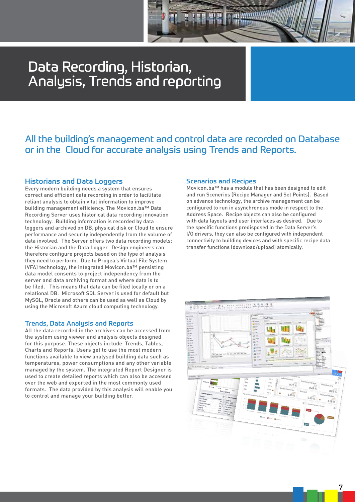# Data Recording, Historian, Analysis, Trends and reporting

### All the building's management and control data are recorded on Database or in the Cloud for accurate analysis using Trends and Reports.

### Historians and Data Loggers

Every modern building needs a system that ensures correct and efficient data recording in order to facilitate reliant analysis to obtain vital information to improve building management efficiency. The Movicon.ba™ Data Recording Server uses historical data recording innovation technology. Building information is recorded by data loggers and archived on DB, physical disk or Cloud to ensure performance and security independently from the volume of data involved. The Server offers two data recording models: the Historian and the Data Logger. Design engineers can therefore configure projects based on the type of analysis they need to perform. Due to Progea's Virtual File System (VFA) technology, the integrated Movicon.ba™ persisting data model consents to project independency from the server and data archiving format and where data is to be filed. This means that data can be filed locally or on a relational DB. Microsoft SQL Server is used for default but MySQL, Oracle and others can be used as well as Cloud by using the Microsoft Azure cloud computing technology.

### Trends, Data Analysis and Reports

All the data recorded in the archives can be accessed from the system using viewer and analysis objects designed for this purpose. These objects include Trends, Tables, Charts and Reports. Users get to use the most modern functions available to view analysed building data such as temperatures, power consumptions and any other variable managed by the system. The integrated Report Designer is used to create detailed reports which can also be accessed over the web and exported in the most commonly used formats. The data provided by this analysis will enable you to control and manage your building better.

#### Scenarios and Recipes

Movicon.ba™ has a module that has been designed to edit and run Scenerios (Recipe Manager and Set Points). Based on advance technology, the archive management can be configured to run in asynchronous mode in respect to the Address Space. Recipe objects can also be configured with data layouts and user interfaces as desired. Due to the specific functions predisposed in the Data Server's I/O drivers, they can also be configured with independent connectivity to building devices and with specific recipe data transfer functions (download/upload) atomically.



7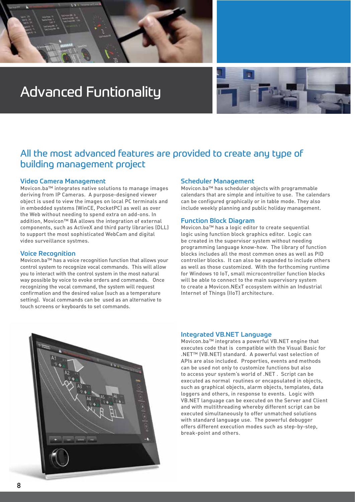

# Advanced Funtionality



### All the most advanced features are provided to create any type of building management project

### Video Camera Management

Movicon.ba™ integrates native solutions to manage images deriving from IP Cameras. A purpose-designed viewer object is used to view the images on local PC terminals and in embedded systems (WinCE, PocketPC) as well as over the Web without needing to spend extra on add-ons. In addition, Movicon™ BA allows the integration of external components, such as ActiveX and third party libraries (DLL) to support the most sophisticated WebCam and digital video surveillance systmes.

### Voice Recognition

Movicon.ba™ has a voice recognition function that allows your control system to recognize vocal commands. This will allow you to interact with the control system in the most natural way possible by voice to evoke orders and commands. Once recognizing the vocal command, the system will request confirmation and the desired value (such as a temperature setting). Vocal commands can be used as an alternative to touch screens or keyboards to set commands.

### Scheduler Management

Movicon.ba™ has scheduler objects with programmable calendars that are simple and intuitive to use. The calendars can be configured graphically or in table mode. They also include weekly planning and public holiday management.

### Function Block Diagram

Movicon.ba™ has a logic editor to create sequential logic using function block graphics editor. Logic can be created in the supervisor system without needing programming language know-how. The library of function blocks includes all the most common ones as well as PID controller blocks. It can also be expanded to include others as well as those customized. With the forthcoming runtime for Windows 10 IoT, small microcontroller function blocks will be able to connect to the main supervisory system to create a Movicon.NExT ecosystem within an Industrial Internet of Things (IIoT) architecture.



#### Integrated VB.NET Language

Movicon.ba™ integrates a powerful VB.NET engine that executes code that is compatible with the Visual Basic for .NET™ (VB.NET) standard. A powerful vast selection of APIs are also included. Properties, events and methods can be used not only to customize functions but also to access your system's world of .NET . Script can be executed as normal routines or encapsulated in objects, such as graphical objects, alarm objects, templates, data loggers and others, in response to events. Logic with VB.NET language can be executed on the Server and Client and with multithreading whereby different script can be executed simultaneously to offer unmatched solutions with standard language use. The powerful debugger offers different execution modes such as step-by-step, break-point and others.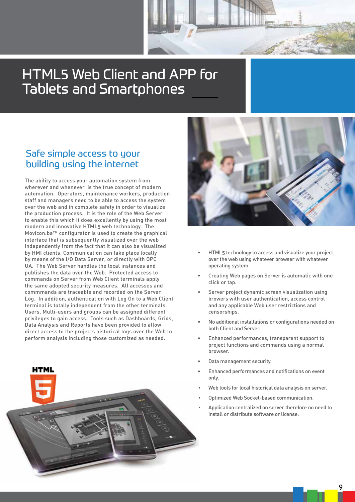# HTML5 Web Client and APP for Tablets and Smartphones

### Safe simple access to your building using the internet

The ability to access your automation system from wherever and whenever is the true concept of modern automation. Operators, maintenance workers, production staff and managers need to be able to access the system over the web and in complete safety in order to visualize the production process. It is the role of the Web Server to enable this which it does excellently by using the most modern and innovative HTML5 web technology. The Movicon.ba™ configurator is used to create the graphical interface that is subsequently visualized over the web independently from the fact that it can also be visualized by HMI clients. Communication can take place locally by means of the I/O Data Server, or directly with OPC UA. The Web Server handles the local instances and publishes the data over the Web. Protected access to commands on Server from Web Client terminals apply the same adopted security measures. All accesses and commmands are traceable and recorded on the Server Log. In addition, authentication with Log On to a Web Client terminal is totally independent from the other terminals. Users, Multi-users and groups can be assigned different privileges to gain access. Tools such as Dashboards, Grids, Data Analysis and Reports have been provided to allow direct access to the projects historical logs over the Web to perform analysis including those customized as needed.





- HTML5 technology to access and visualize your project over the web using whatever browser with whatever operating system.
- Creating Web pages on Server is automatic with one click or tap.
- Server project dynamic screen visualization using browers with user authentication, access control and any applicable Web user restrictions and censorships.
- No additional installations or configurations needed on both Client and Server.
- Enhanced performances, transparent support to project functions and commands using a normal browser.
- Data management security.
- Enhanced performances and notifications on event only.
- Web tools for local historical data analysis on server.
- Optimized Web Socket-based communication.
- Application centralized on server therefore no need to install or distribute software or license.

9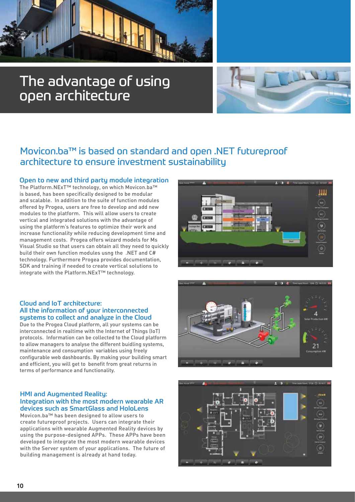

# The advantage of using open architecture



### Movicon.ba™ is based on standard and open .NET futureproof architecture to ensure investment sustainability

### Open to new and third party module integration

The Platform.NExT™ technology, on which Movicon.ba™ is based, has been specifically designed to be modular and scalable. In addition to the suite of function modules offered by Progea, users are free to develop and add new modules to the platform. This will allow users to create vertical and integrated solutions with the advantage of using the platform's features to optimize their work and increase functionality while reducing development time and management costs. Progea offers wizard models for Ms Visual Studio so that users can obtain all they need to quickly build their own function modules usng the .NET and C# technology. Furthermore Progea provides documentation, SDK and training if needed to create vertical solutions to integrate with the Platform.NExT™ technology.

### Cloud and IoT architecture: All the information of your interconnected systems to collect and analyze in the Cloud

Due to the Progea Cloud platform, all your systems can be interconnected in realtime with the Internet of Things (IoT) protocols. Information can be collected to the Cloud platform to allow managers to analyse the different buidling systems, maintenance and consumption variables using freely configurable web dashboards. By making your building smart and efficient, you will get to benefit from great returns in terms of performance and functionality.

### HMI and Augmented Reality: Integration with the most modern wearable AR devices such as SmartGlass and HoloLens

Movicon.ba™ has been designed to allow users to create futureproof projects. Users can integrate their applications with wearable Augmented Reality devices by using the purpose-designed APPs. These APPs have been developed to integrate the most modern wearable devices with the Server system of your applications. The future of building management is already at hand today.





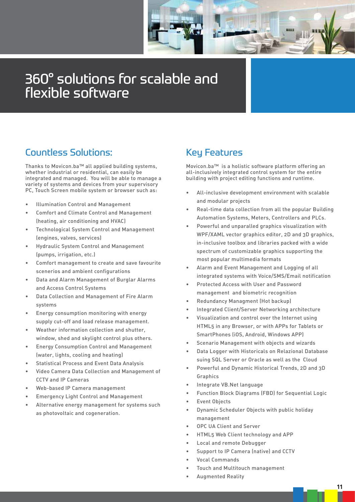

# 360° solutions for scalable and flexible software

### Countless Solutions:

Thanks to Movicon.ba™ all applied building systems, whether industrial or residential, can easily be integrated and managed. You will be able to manage a variety of systems and devices from your supervisory PC, Touch Screen mobile system or browser such as:

- Illumination Control and Management
- Comfort and Climate Control and Management (heating, air conditioning and HVAC)
- Technological System Control and Management (engines, valves, services)
- Hydraulic System Control and Management (pumps, irrigation, etc.)
- Comfort management to create and save favourite scenerios and ambient configurations
- Data and Alarm Management of Burglar Alarms and Access Control Systems
- Data Collection and Management of Fire Alarm systems
- Energy consumption monitoring with energy supply cut-off and load release management.
- Weather information collection and shutter, window, shed and skylight control plus others.
- Energy Consumption Control and Management (water, lights, cooling and heating)
- Statistical Process and Event Data Analysis
- Video Camera Data Collection and Management of CCTV and IP Cameras
- Web-based IP Camera management
- Emergency Light Control and Management
- Alternative energy management for systems such as photovoltaic and cogeneration.

### Key Features

Movicon.ba™ is a holistic software platform offering an all-inclusively integrated control system for the entire building with project editing functions and runtime.

- All-inclusive development environment with scalable and modular projects
- Real-time data collection from all the popular Building Automation Systems, Meters, Controllers and PLCs.
- Powerful and unparalled graphics visualization with WPF/XAML vector graphics editor, 2D and 3D graphics, in-inclusive toolbox and libraries packed with a wide spectrum of customizable graphics supporting the most popular multimedia formats
- Alarm and Event Management and Logging of all integrated systems with Voice/SMS/Email notification
- Protected Access with User and Password management and biometric recognition
- Redundancy Managment (Hot backup)
- Integrated Client/Server Networking architecture
- Visualization and control over the Internet using HTML5 in any Browser, or with APPs for Tablets or SmartPhones (iOS, Android, Windows APP)
- Scenario Management with objects and wizards
- Data Logger with Historicals on Relazional Database suing SQL Server or Oracle as well as the Cloud
- Powerful and Dynamic Historical Trends, 2D and 3D Graphics
- Integrate VB.Net language
- Function Block Diagrams (FBD) for Sequential Logic
- **Event Objects**
- Dynamic Scheduler Objects with public holiday management
- OPC UA Client and Server
- HTML5 Web Client technology and APP
- Local and remote Debugger
- Support to IP Camera (native) and CCTV
- Vocal Commands
- Touch and Multitouch management
- Augmented Reality